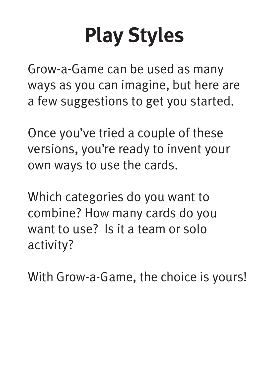## **Play Styles**

Grow-a-Game can be used as many ways as you can imagine, but here are a few suggestions to get you started.

Once you've tried a couple of these versions, you're ready to invent your own ways to use the cards.

Which categories do you want to combine? How many cards do you want to use? Is it a team or solo activity?

With Grow-a-Game, the choice is yours!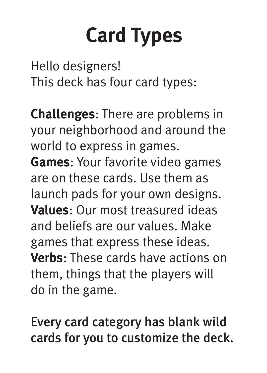# **Card Types**

Hello designers! This deck has four card types:

**Challenges**: There are problems in your neighborhood and around the world to express in games. **Games**: Your favorite video games are on these cards. Use them as launch pads for your own designs. **Values**: Our most treasured ideas and beliefs are our values. Make games that express these ideas. **Verbs**: These cards have actions on them, things that the players will do in the game.

Every card category has blank wild cards for you to customize the deck.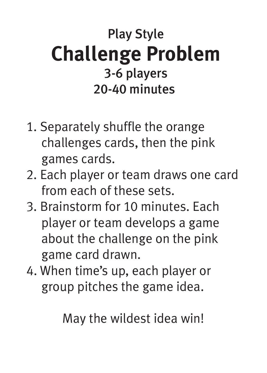### Play Style **Challenge Problem** 3-6 players 20-40 minutes

- 1. Separately shuffle the orange challenges cards, then the pink games cards.
- 2. Each player or team draws one card from each of these sets.
- 3. Brainstorm for 10 minutes. Each player or team develops a game about the challenge on the pink game card drawn.
- 4. When time's up, each player or group pitches the game idea.

May the wildest idea win!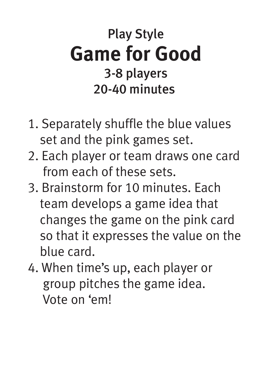### Play Style **Game for Good** 3-8 players 20-40 minutes

- 1. Separately shuffle the blue values set and the pink games set.
- 2. Each player or team draws one card from each of these sets.
- 3. Brainstorm for 10 minutes. Each team develops a game idea that changes the game on the pink card so that it expresses the value on the blue card.
- 4. When time's up, each player or group pitches the game idea. Vote on 'em!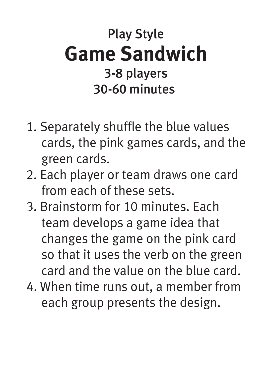### Play Style **Game Sandwich** 3-8 players 30-60 minutes

- 1. Separately shuffle the blue values cards, the pink games cards, and the green cards.
- 2. Each player or team draws one card from each of these sets.
- 3. Brainstorm for 10 minutes. Each team develops a game idea that changes the game on the pink card so that it uses the verb on the green card and the value on the blue card.
- 4. When time runs out, a member from each group presents the design.